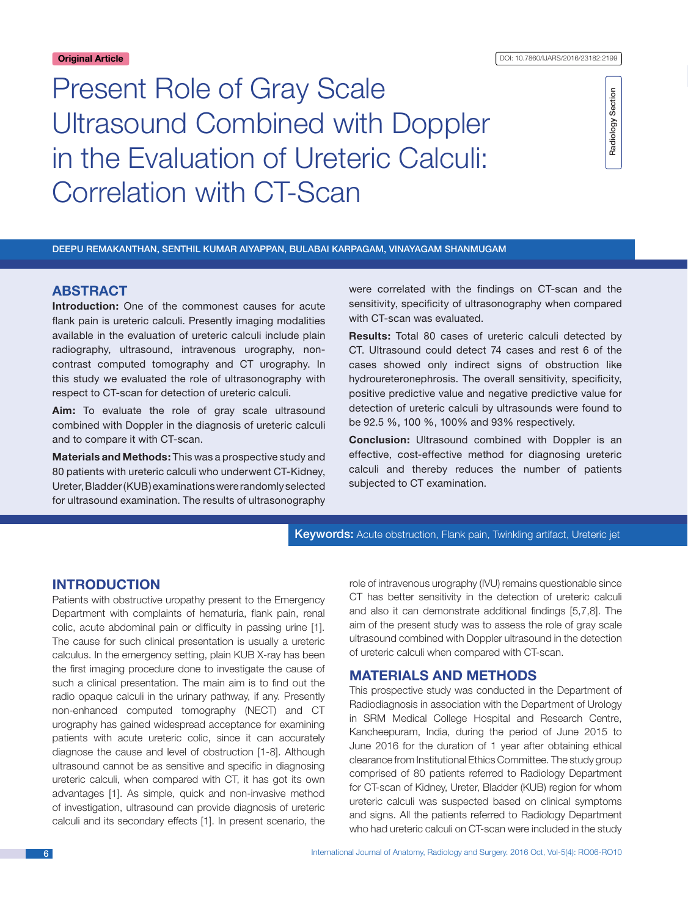# Present Role of Gray Scale Ultrasound Combined with Doppler in the Evaluation of Ureteric Calculi: Correlation with CT-Scan

Radiology Section Radiology Section

Deepu Remakanthan, Senthil Kumar Aiyappan, Bulabai Karpagam, Vinayagam Shanmugam

# **ABSTRACT**

**Introduction:** One of the commonest causes for acute flank pain is ureteric calculi. Presently imaging modalities available in the evaluation of ureteric calculi include plain radiography, ultrasound, intravenous urography, noncontrast computed tomography and CT urography. In this study we evaluated the role of ultrasonography with respect to CT-scan for detection of ureteric calculi.

**Aim:** To evaluate the role of gray scale ultrasound combined with Doppler in the diagnosis of ureteric calculi and to compare it with CT-scan.

**Materials and Methods:** This was a prospective study and 80 patients with ureteric calculi who underwent CT-Kidney, Ureter, Bladder (KUB) examinations wererandomly selected for ultrasound examination. The results of ultrasonography were correlated with the findings on CT-scan and the sensitivity, specificity of ultrasonography when compared with CT-scan was evaluated.

**Results:** Total 80 cases of ureteric calculi detected by CT. Ultrasound could detect 74 cases and rest 6 of the cases showed only indirect signs of obstruction like hydroureteronephrosis. The overall sensitivity, specificity, positive predictive value and negative predictive value for detection of ureteric calculi by ultrasounds were found to be 92.5 %, 100 %, 100% and 93% respectively.

**Conclusion:** Ultrasound combined with Doppler is an effective, cost-effective method for diagnosing ureteric calculi and thereby reduces the number of patients subjected to CT examination.

Keywords: Acute obstruction, Flank pain, Twinkling artifact, Ureteric jet

# **Introduction**

Patients with obstructive uropathy present to the Emergency Department with complaints of hematuria, flank pain, renal colic, acute abdominal pain or difficulty in passing urine [1]. The cause for such clinical presentation is usually a ureteric calculus. In the emergency setting, plain KUB X-ray has been the first imaging procedure done to investigate the cause of such a clinical presentation. The main aim is to find out the radio opaque calculi in the urinary pathway, if any. Presently non-enhanced computed tomography (NECT) and CT urography has gained widespread acceptance for examining patients with acute ureteric colic, since it can accurately diagnose the cause and level of obstruction [1-8]. Although ultrasound cannot be as sensitive and specific in diagnosing ureteric calculi, when compared with CT, it has got its own advantages [1]. As simple, quick and non-invasive method of investigation, ultrasound can provide diagnosis of ureteric calculi and its secondary effects [1]. In present scenario, the role of intravenous urography (IVU) remains questionable since CT has better sensitivity in the detection of ureteric calculi and also it can demonstrate additional findings [5,7,8]. The aim of the present study was to assess the role of gray scale ultrasound combined with Doppler ultrasound in the detection of ureteric calculi when compared with CT-scan.

## **Materials and Methods**

This prospective study was conducted in the Department of Radiodiagnosis in association with the Department of Urology in SRM Medical College Hospital and Research Centre, Kancheepuram, India, during the period of June 2015 to June 2016 for the duration of 1 year after obtaining ethical clearance from Institutional Ethics Committee. The study group comprised of 80 patients referred to Radiology Department for CT-scan of Kidney, Ureter, Bladder (KUB) region for whom ureteric calculi was suspected based on clinical symptoms and signs. All the patients referred to Radiology Department who had ureteric calculi on CT-scan were included in the study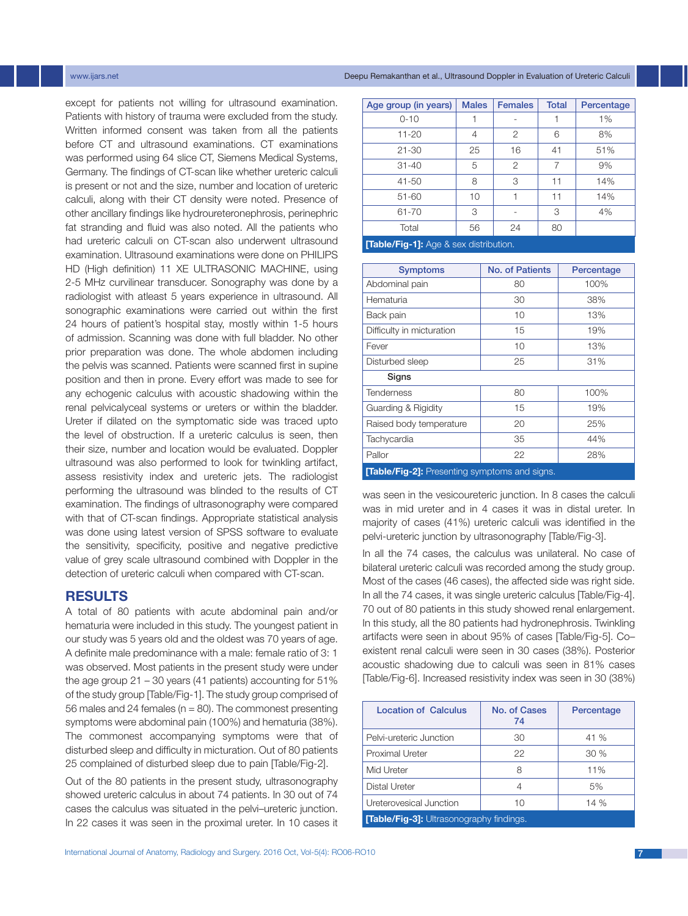except for patients not willing for ultrasound examination. Patients with history of trauma were excluded from the study. Written informed consent was taken from all the patients before CT and ultrasound examinations. CT examinations was performed using 64 slice CT, Siemens Medical Systems, Germany. The findings of CT-scan like whether ureteric calculi is present or not and the size, number and location of ureteric calculi, along with their CT density were noted. Presence of other ancillary findings like hydroureteronephrosis, perinephric fat stranding and fluid was also noted. All the patients who had ureteric calculi on CT-scan also underwent ultrasound examination. Ultrasound examinations were done on PHILIPS HD (High definition) 11 XE ULTRASONIC MACHINE, using 2-5 MHz curvilinear transducer. Sonography was done by a radiologist with atleast 5 years experience in ultrasound. All sonographic examinations were carried out within the first 24 hours of patient's hospital stay, mostly within 1-5 hours of admission. Scanning was done with full bladder. No other prior preparation was done. The whole abdomen including the pelvis was scanned. Patients were scanned first in supine position and then in prone. Every effort was made to see for any echogenic calculus with acoustic shadowing within the renal pelvicalyceal systems or ureters or within the bladder. Ureter if dilated on the symptomatic side was traced upto the level of obstruction. If a ureteric calculus is seen, then their size, number and location would be evaluated. Doppler ultrasound was also performed to look for twinkling artifact, assess resistivity index and ureteric jets. The radiologist performing the ultrasound was blinded to the results of CT examination. The findings of ultrasonography were compared with that of CT-scan findings. Appropriate statistical analysis was done using latest version of SPSS software to evaluate the sensitivity, specificity, positive and negative predictive value of grey scale ultrasound combined with Doppler in the detection of ureteric calculi when compared with CT-scan.

# **RESULTS**

A total of 80 patients with acute abdominal pain and/or hematuria were included in this study. The youngest patient in our study was 5 years old and the oldest was 70 years of age. A definite male predominance with a male: female ratio of 3: 1 was observed. Most patients in the present study were under the age group 21 – 30 years (41 patients) accounting for 51% of the study group [Table/Fig-1]. The study group comprised of 56 males and 24 females ( $n = 80$ ). The commonest presenting symptoms were abdominal pain (100%) and hematuria (38%). The commonest accompanying symptoms were that of disturbed sleep and difficulty in micturation. Out of 80 patients 25 complained of disturbed sleep due to pain [Table/Fig-2].

Out of the 80 patients in the present study, ultrasonography showed ureteric calculus in about 74 patients. In 30 out of 74 cases the calculus was situated in the pelvi–ureteric junction. In 22 cases it was seen in the proximal ureter. In 10 cases it

| Age group (in years)                         | <b>Males</b> | <b>Females</b> | <b>Total</b> | Percentage |
|----------------------------------------------|--------------|----------------|--------------|------------|
| $0 - 10$                                     |              |                |              | 1%         |
| $11 - 20$                                    | 4            | 2              | 6            | 8%         |
| $21 - 30$                                    | 25           | 16             | 41           | 51%        |
| $31 - 40$                                    | 5            | 2              | 7            | 9%         |
| $41 - 50$                                    | 8            | 3              | 11           | 14%        |
| $51 - 60$                                    | 10           | 1              | 11           | 14%        |
| 61-70                                        | 3            |                | 3            | 4%         |
| Total                                        | 56           | 24             | 80           |            |
| <b>Table/Fig-1]:</b> Age & sex distribution. |              |                |              |            |

| <b>Symptoms</b>                                      | <b>No. of Patients</b> | Percentage |  |
|------------------------------------------------------|------------------------|------------|--|
| Abdominal pain                                       | 80                     | 100%       |  |
| Hematuria                                            | 30                     | 38%        |  |
| Back pain                                            | 10                     | 13%        |  |
| Difficulty in micturation                            | 15                     | 19%        |  |
| Fever                                                | 10                     | 13%        |  |
| Disturbed sleep                                      | 25                     | 31%        |  |
| Signs                                                |                        |            |  |
| <b>Tenderness</b>                                    | 80                     | 100%       |  |
| <b>Guarding &amp; Rigidity</b>                       | 15                     | 19%        |  |
| Raised body temperature                              | 20                     | 25%        |  |
| Tachycardia                                          | 35                     | 44%        |  |
| Pallor                                               | 22                     | 28%        |  |
| <b>[Table/Fig-2]:</b> Presenting symptoms and signs. |                        |            |  |

was seen in the vesicoureteric junction. In 8 cases the calculi was in mid ureter and in 4 cases it was in distal ureter. In majority of cases (41%) ureteric calculi was identified in the pelvi-ureteric junction by ultrasonography [Table/Fig-3].

In all the 74 cases, the calculus was unilateral. No case of bilateral ureteric calculi was recorded among the study group. Most of the cases (46 cases), the affected side was right side. In all the 74 cases, it was single ureteric calculus [Table/Fig-4]. 70 out of 80 patients in this study showed renal enlargement. In this study, all the 80 patients had hydronephrosis. Twinkling artifacts were seen in about 95% of cases [Table/Fig-5]. Co– existent renal calculi were seen in 30 cases (38%). Posterior acoustic shadowing due to calculi was seen in 81% cases [Table/Fig-6]. Increased resistivity index was seen in 30 (38%)

| <b>Location of Calculus</b>                     | No. of Cases<br>74 | Percentage |
|-------------------------------------------------|--------------------|------------|
| Pelvi-ureteric Junction                         | 30                 | 41 %       |
| <b>Proximal Ureter</b>                          | 22                 | 30%        |
| Mid Ureter                                      | 8                  | 11%        |
| Distal Ureter                                   | 4                  | 5%         |
| Ureterovesical Junction                         | 10                 | 14 %       |
| <b>[Table/Fig-3]:</b> Ultrasonography findings. |                    |            |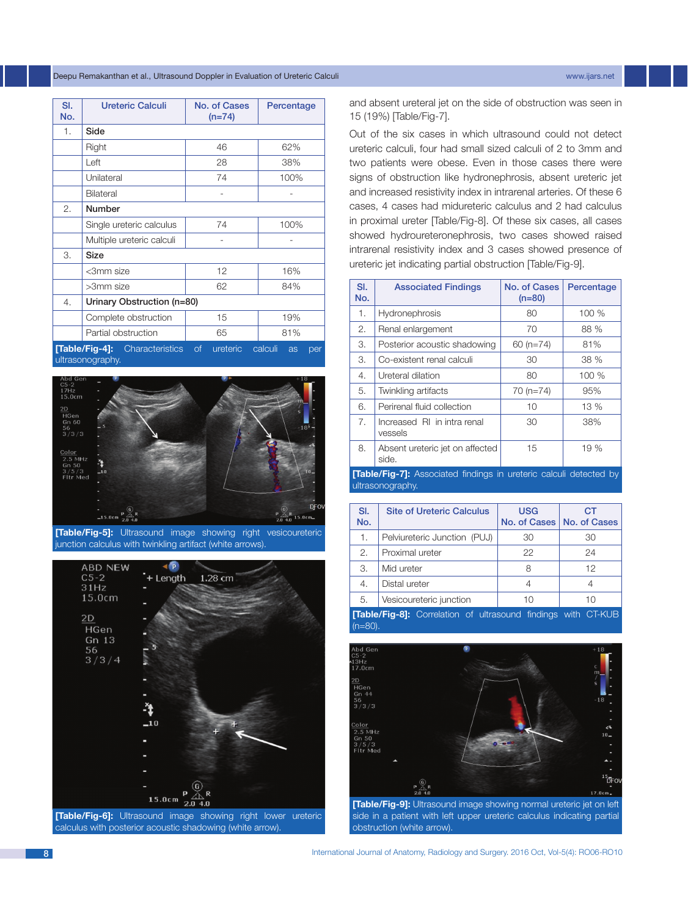#### Deepu Remakanthan et al., Ultrasound Doppler in Evaluation of Ureteric Calculi www.ijars.net

| SI.<br>No. | <b>Ureteric Calculi</b>               | No. of Cases<br>$(n=74)$ | Percentage           |
|------------|---------------------------------------|--------------------------|----------------------|
| 1.         | Side                                  |                          |                      |
|            | Right                                 | 46                       | 62%                  |
|            | Left                                  | 28                       | 38%                  |
|            | Unilateral                            | 74                       | 100%                 |
|            | Bilateral                             |                          |                      |
| 2.         | Number                                |                          |                      |
|            | Single ureteric calculus              | 74                       | 100%                 |
|            | Multiple ureteric calculi             |                          |                      |
| 3.         | Size                                  |                          |                      |
|            | <3mm size                             | 12                       | 16%                  |
|            | >3mm size                             | 62                       | 84%                  |
| 4.         | Urinary Obstruction (n=80)            |                          |                      |
|            | Complete obstruction                  | 15                       | 19%                  |
|            | Partial obstruction                   | 65                       | 81%                  |
|            | <b>[Table/Fig-4]:</b> Characteristics | <b>of</b><br>ureteric    | calculi<br>as<br>per |

ultrasonography.



**[Table/Fig-5]:** Ultrasound image showing right vesicoureteric junction calculus with twinkling artifact (white arrows).



**[Table/Fig-6]:** Ultrasound image showing right lower ureteric calculus with posterior acoustic shadowing (white arrow).

and absent ureteral jet on the side of obstruction was seen in 15 (19%) [Table/Fig-7].

Out of the six cases in which ultrasound could not detect ureteric calculi, four had small sized calculi of 2 to 3mm and two patients were obese. Even in those cases there were signs of obstruction like hydronephrosis, absent ureteric jet and increased resistivity index in intrarenal arteries. Of these 6 cases, 4 cases had midureteric calculus and 2 had calculus in proximal ureter [Table/Fig-8]. Of these six cases, all cases showed hydroureteronephrosis, two cases showed raised intrarenal resistivity index and 3 cases showed presence of ureteric jet indicating partial obstruction [Table/Fig-9].

| SI.<br>No. | <b>Associated Findings</b>               | No. of Cases<br>$(n=80)$ | Percentage |
|------------|------------------------------------------|--------------------------|------------|
| 1.         | Hydronephrosis                           | 80                       | 100 %      |
| 2.         | Renal enlargement                        | 70                       | 88 %       |
| 3.         | Posterior acoustic shadowing             | $60$ (n=74)              | 81%        |
| 3.         | Co-existent renal calculi                | 30                       | 38 %       |
| 4.         | Ureteral dilation                        | 80                       | 100 %      |
| 5.         | Twinkling artifacts                      | $70(n=74)$               | 95%        |
| 6.         | Perirenal fluid collection               | 10                       | 13 %       |
| 7.         | Increased RI in intra renal<br>vessels   | 30                       | 38%        |
| 8.         | Absent ureteric jet on affected<br>side. | 15                       | 19%        |

**[Table/Fig-7]:** Associated findings in ureteric calculi detected by ultrasonography.

| SI.<br>No.                                                                        | <b>Site of Ureteric Calculus</b> | <b>USG</b><br>No. of Cases | <b>CT</b><br>No. of Cases |
|-----------------------------------------------------------------------------------|----------------------------------|----------------------------|---------------------------|
| 1.                                                                                | Pelviureteric Junction (PUJ)     | 30                         | 30                        |
| 2.                                                                                | Proximal ureter                  | 22                         | 24                        |
| 3.                                                                                | Mid ureter                       | 8                          | 12                        |
| 4.                                                                                | Distal ureter                    | 4                          | 4                         |
| 5.                                                                                | Vesicoureteric junction          | 10                         | 10                        |
| <b>Table/Fig-8]:</b> Correlation of ultrasound findings with CT-KUB<br>$(n=80)$ . |                                  |                            |                           |



**[Table/Fig-9]:** Ultrasound image showing normal ureteric jet on left side in a patient with left upper ureteric calculus indicating partial obstruction (white arrow).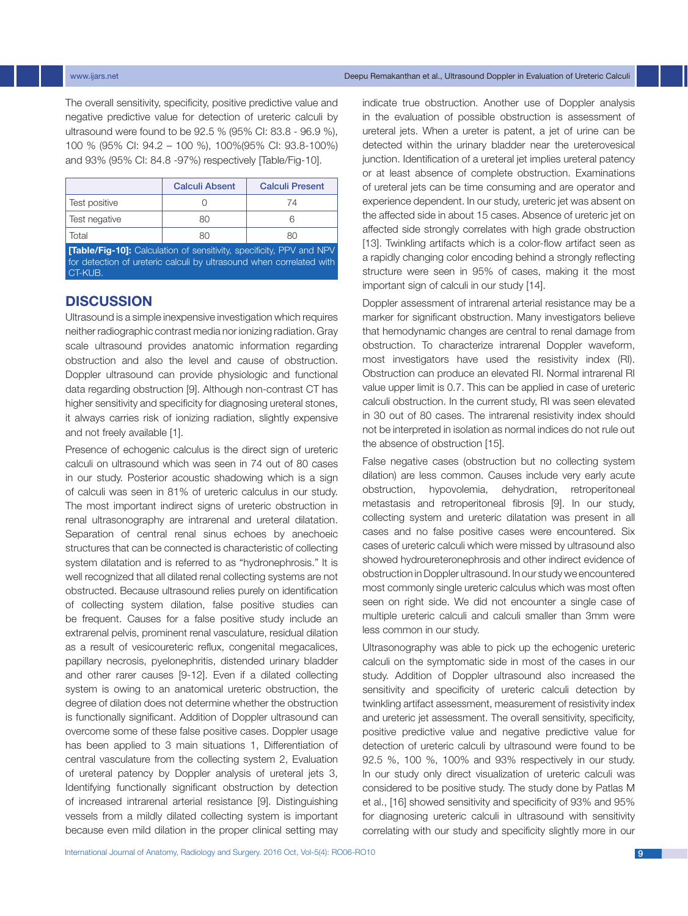#### www.ijars.net **Deepu Remakanthan et al., Ultrasound Doppler in Evaluation of Ureteric Calculi**

The overall sensitivity, specificity, positive predictive value and negative predictive value for detection of ureteric calculi by ultrasound were found to be 92.5 % (95% CI: 83.8 - 96.9 %), 100 % (95% CI: 94.2 – 100 %), 100%(95% CI: 93.8-100%) and 93% (95% CI: 84.8 -97%) respectively [Table/Fig-10].

|                                                                            | <b>Calculi Absent</b> | <b>Calculi Present</b> |
|----------------------------------------------------------------------------|-----------------------|------------------------|
| Test positive                                                              |                       | 74                     |
| Test negative                                                              | 80                    | R                      |
| Total                                                                      | 80                    | 80                     |
| <b>Table/Fig-10]:</b> Calculation of sensitivity, specificity, PPV and NPV |                       |                        |

for detection of ureteric calculi by ultrasound when correlated with CT-KUB.

# **DISCUSSION**

Ultrasound is a simple inexpensive investigation which requires neither radiographic contrast media nor ionizing radiation. Gray scale ultrasound provides anatomic information regarding obstruction and also the level and cause of obstruction. Doppler ultrasound can provide physiologic and functional data regarding obstruction [9]. Although non-contrast CT has higher sensitivity and specificity for diagnosing ureteral stones, it always carries risk of ionizing radiation, slightly expensive and not freely available [1].

Presence of echogenic calculus is the direct sign of ureteric calculi on ultrasound which was seen in 74 out of 80 cases in our study. Posterior acoustic shadowing which is a sign of calculi was seen in 81% of ureteric calculus in our study. The most important indirect signs of ureteric obstruction in renal ultrasonography are intrarenal and ureteral dilatation. Separation of central renal sinus echoes by anechoeic structures that can be connected is characteristic of collecting system dilatation and is referred to as "hydronephrosis." It is well recognized that all dilated renal collecting systems are not obstructed. Because ultrasound relies purely on identification of collecting system dilation, false positive studies can be frequent. Causes for a false positive study include an extrarenal pelvis, prominent renal vasculature, residual dilation as a result of vesicoureteric reflux, congenital megacalices, papillary necrosis, pyelonephritis, distended urinary bladder and other rarer causes [9-12]. Even if a dilated collecting system is owing to an anatomical ureteric obstruction, the degree of dilation does not determine whether the obstruction is functionally significant. Addition of Doppler ultrasound can overcome some of these false positive cases. Doppler usage has been applied to 3 main situations 1, Differentiation of central vasculature from the collecting system 2, Evaluation of ureteral patency by Doppler analysis of ureteral jets 3, Identifying functionally significant obstruction by detection of increased intrarenal arterial resistance [9]. Distinguishing vessels from a mildly dilated collecting system is important because even mild dilation in the proper clinical setting may indicate true obstruction. Another use of Doppler analysis in the evaluation of possible obstruction is assessment of ureteral jets. When a ureter is patent, a jet of urine can be detected within the urinary bladder near the ureterovesical junction. Identification of a ureteral jet implies ureteral patency or at least absence of complete obstruction. Examinations of ureteral jets can be time consuming and are operator and experience dependent. In our study, ureteric jet was absent on the affected side in about 15 cases. Absence of ureteric jet on affected side strongly correlates with high grade obstruction [13]. Twinkling artifacts which is a color-flow artifact seen as a rapidly changing color encoding behind a strongly reflecting structure were seen in 95% of cases, making it the most important sign of calculi in our study [14].

Doppler assessment of intrarenal arterial resistance may be a marker for significant obstruction. Many investigators believe that hemodynamic changes are central to renal damage from obstruction. To characterize intrarenal Doppler waveform, most investigators have used the resistivity index (RI). Obstruction can produce an elevated RI. Normal intrarenal RI value upper limit is 0.7. This can be applied in case of ureteric calculi obstruction. In the current study, RI was seen elevated in 30 out of 80 cases. The intrarenal resistivity index should not be interpreted in isolation as normal indices do not rule out the absence of obstruction [15].

False negative cases (obstruction but no collecting system dilation) are less common. Causes include very early acute obstruction, hypovolemia, dehydration, retroperitoneal metastasis and retroperitoneal fibrosis [9]. In our study, collecting system and ureteric dilatation was present in all cases and no false positive cases were encountered. Six cases of ureteric calculi which were missed by ultrasound also showed hydroureteronephrosis and other indirect evidence of obstruction in Doppler ultrasound. In our study we encountered most commonly single ureteric calculus which was most often seen on right side. We did not encounter a single case of multiple ureteric calculi and calculi smaller than 3mm were less common in our study.

Ultrasonography was able to pick up the echogenic ureteric calculi on the symptomatic side in most of the cases in our study. Addition of Doppler ultrasound also increased the sensitivity and specificity of ureteric calculi detection by twinkling artifact assessment, measurement of resistivity index and ureteric jet assessment. The overall sensitivity, specificity, positive predictive value and negative predictive value for detection of ureteric calculi by ultrasound were found to be 92.5 %, 100 %, 100% and 93% respectively in our study. In our study only direct visualization of ureteric calculi was considered to be positive study. The study done by Patlas M et al., [16] showed sensitivity and specificity of 93% and 95% for diagnosing ureteric calculi in ultrasound with sensitivity correlating with our study and specificity slightly more in our